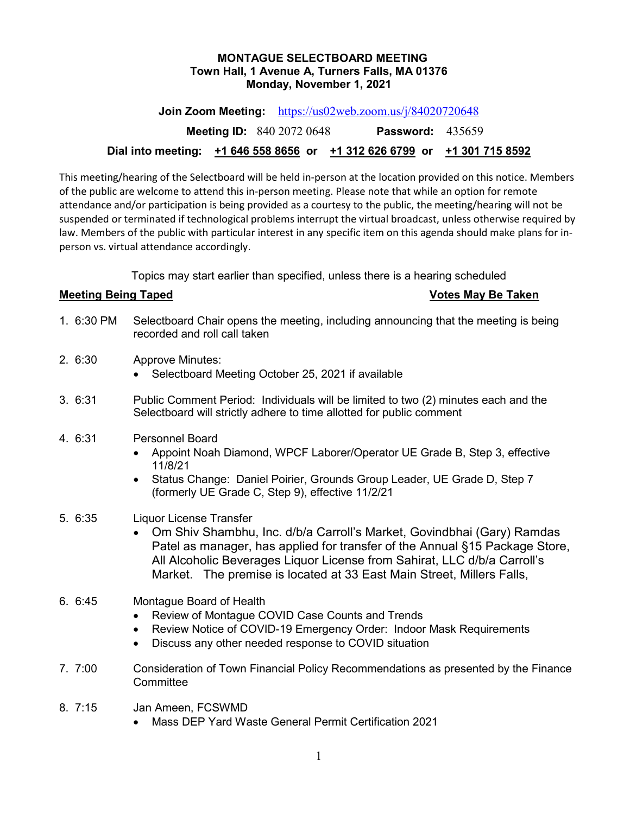### **MONTAGUE SELECTBOARD MEETING Town Hall, 1 Avenue A, Turners Falls, MA 01376 Monday, November 1, 2021**

**Join Zoom Meeting:** <https://us02web.zoom.us/j/84020720648>

**Meeting ID:** 840 2072 0648 **Password:** 435659

## **Dial into meeting: +1 646 558 8656 or +1 312 626 6799 or +1 301 715 8592**

This meeting/hearing of the Selectboard will be held in-person at the location provided on this notice. Members of the public are welcome to attend this in-person meeting. Please note that while an option for remote attendance and/or participation is being provided as a courtesy to the public, the meeting/hearing will not be suspended or terminated if technological problems interrupt the virtual broadcast, unless otherwise required by law. Members of the public with particular interest in any specific item on this agenda should make plans for inperson vs. virtual attendance accordingly.

Topics may start earlier than specified, unless there is a hearing scheduled

# **Meeting Being Taped Votes May Be Taken**

- 1. 6:30 PM Selectboard Chair opens the meeting, including announcing that the meeting is being recorded and roll call taken
- 2. 6:30 Approve Minutes:
	- Selectboard Meeting October 25, 2021 if available
- 3. 6:31 Public Comment Period: Individuals will be limited to two (2) minutes each and the Selectboard will strictly adhere to time allotted for public comment
- 4. 6:31 Personnel Board
	- Appoint Noah Diamond, WPCF Laborer/Operator UE Grade B, Step 3, effective 11/8/21
	- Status Change: Daniel Poirier, Grounds Group Leader, UE Grade D, Step 7 (formerly UE Grade C, Step 9), effective 11/2/21
- 5. 6:35 Liquor License Transfer
	- Om Shiv Shambhu, Inc. d/b/a Carroll's Market, Govindbhai (Gary) Ramdas Patel as manager, has applied for transfer of the Annual §15 Package Store, All Alcoholic Beverages Liquor License from Sahirat, LLC d/b/a Carroll's Market. The premise is located at 33 East Main Street, Millers Falls,
- 6. 6:45 Montague Board of Health
	- Review of Montague COVID Case Counts and Trends
	- Review Notice of COVID-19 Emergency Order: Indoor Mask Requirements
	- Discuss any other needed response to COVID situation
- 7. 7:00 Consideration of Town Financial Policy Recommendations as presented by the Finance **Committee**
- 8. 7:15 Jan Ameen, FCSWMD
	- Mass DEP Yard Waste General Permit Certification 2021